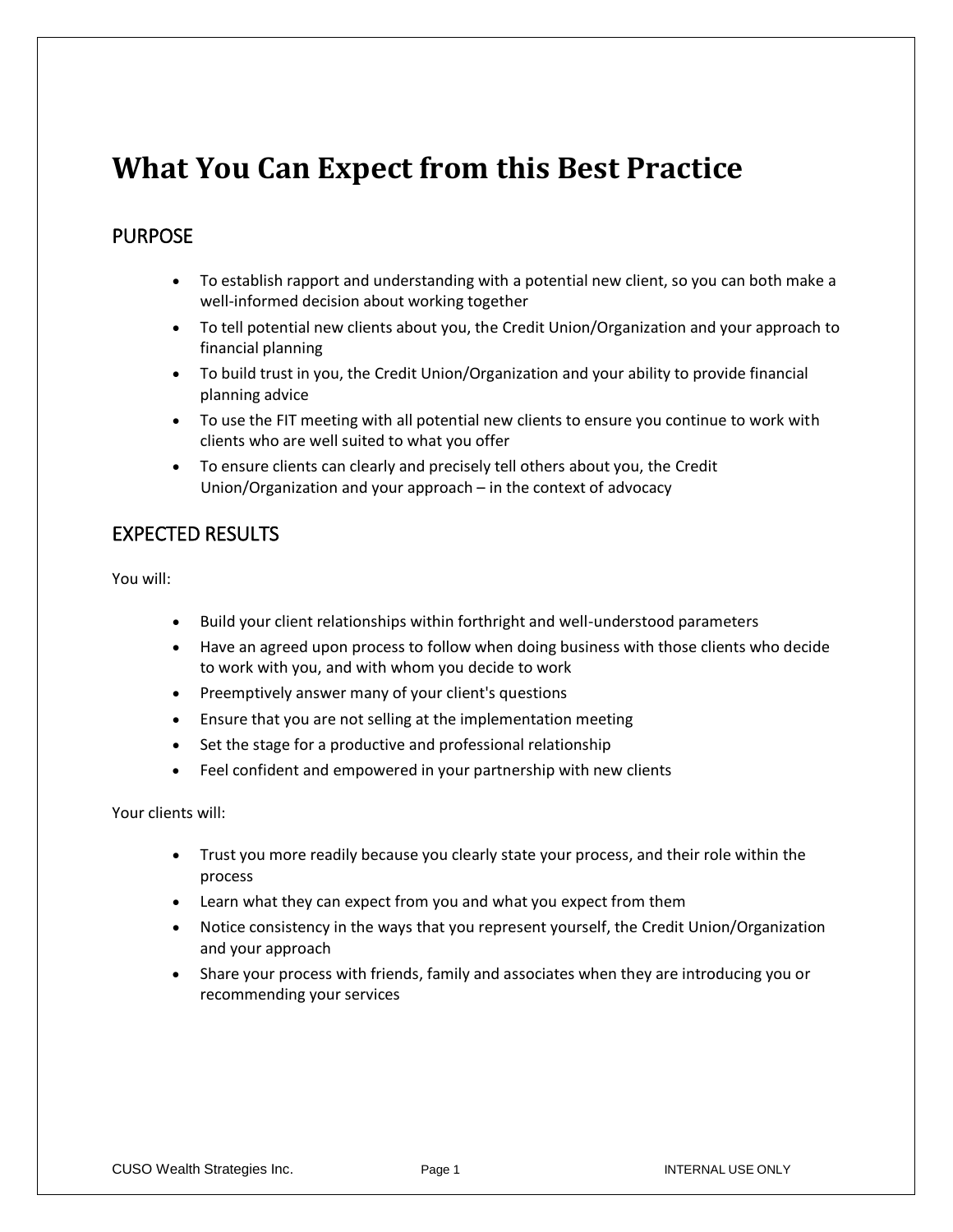## **What You Can Expect from this Best Practice**

## PURPOSE

- To establish rapport and understanding with a potential new client, so you can both make a well-informed decision about working together
- To tell potential new clients about you, the Credit Union/Organization and your approach to financial planning
- To build trust in you, the Credit Union/Organization and your ability to provide financial planning advice
- To use the FIT meeting with all potential new clients to ensure you continue to work with clients who are well suited to what you offer
- To ensure clients can clearly and precisely tell others about you, the Credit Union/Organization and your approach – in the context of advocacy

## EXPECTED RESULTS

You will:

- Build your client relationships within forthright and well-understood parameters
- Have an agreed upon process to follow when doing business with those clients who decide to work with you, and with whom you decide to work
- Preemptively answer many of your client's questions
- Ensure that you are not selling at the implementation meeting
- Set the stage for a productive and professional relationship
- Feel confident and empowered in your partnership with new clients

Your clients will:

- Trust you more readily because you clearly state your process, and their role within the process
- Learn what they can expect from you and what you expect from them
- Notice consistency in the ways that you represent yourself, the Credit Union/Organization and your approach
- Share your process with friends, family and associates when they are introducing you or recommending your services